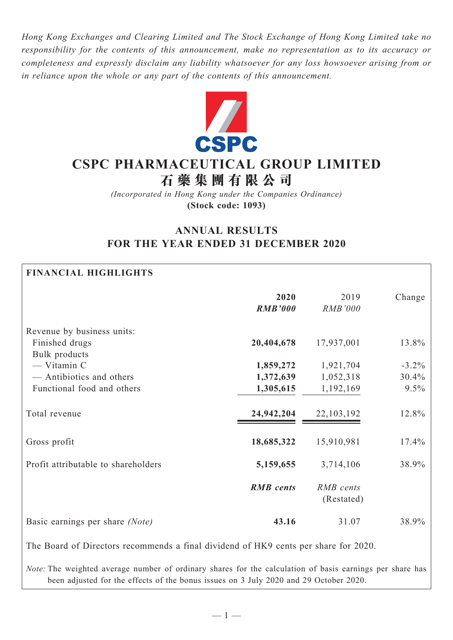*Hong Kong Exchanges and Clearing Limited and The Stock Exchange of Hong Kong Limited take no responsibility for the contents of this announcement, make no representation as to its accuracy or completeness and expressly disclaim any liability whatsoever for any loss howsoever arising from or in reliance upon the whole or any part of the contents of this announcement.*



# **CSPC PHARMACEUTICAL GROUP LIMITED**

**石 藥 集 團 有 限 公 司**

*(Incorporated in Hong Kong under the Companies Ordinance)* **(Stock code: 1093)**

## **ANNUAL RESULTS FOR THE YEAR ENDED 31 DECEMBER 2020**

## **FINANCIAL HIGHLIGHTS**

|                                                                                     | 2020<br><b>RMB'000</b> | 2019<br><b>RMB'000</b> | Change   |
|-------------------------------------------------------------------------------------|------------------------|------------------------|----------|
| Revenue by business units:                                                          |                        |                        |          |
| Finished drugs                                                                      | 20,404,678             | 17,937,001             | 13.8%    |
| Bulk products                                                                       |                        |                        |          |
| $-$ Vitamin C                                                                       | 1,859,272              | 1,921,704              | $-3.2\%$ |
| - Antibiotics and others                                                            | 1,372,639              | 1,052,318              | 30.4%    |
| Functional food and others                                                          | 1,305,615              | 1,192,169              | $9.5\%$  |
|                                                                                     |                        |                        |          |
| Total revenue                                                                       | 24,942,204             | 22, 103, 192           | 12.8%    |
|                                                                                     |                        |                        |          |
| Gross profit                                                                        | 18,685,322             | 15,910,981             | 17.4%    |
| Profit attributable to shareholders                                                 | 5,159,655              | 3,714,106              | 38.9%    |
|                                                                                     |                        |                        |          |
|                                                                                     | <b>RMB</b> cents       | RMB cents              |          |
|                                                                                     |                        | (Restated)             |          |
| Basic earnings per share (Note)                                                     | 43.16                  | 31.07                  | 38.9%    |
|                                                                                     |                        |                        |          |
| The Board of Directors recommends a final dividend of HK9 cents per share for 2020. |                        |                        |          |

*Note:* The weighted average number of ordinary shares for the calculation of basis earnings per share has been adjusted for the effects of the bonus issues on 3 July 2020 and 29 October 2020.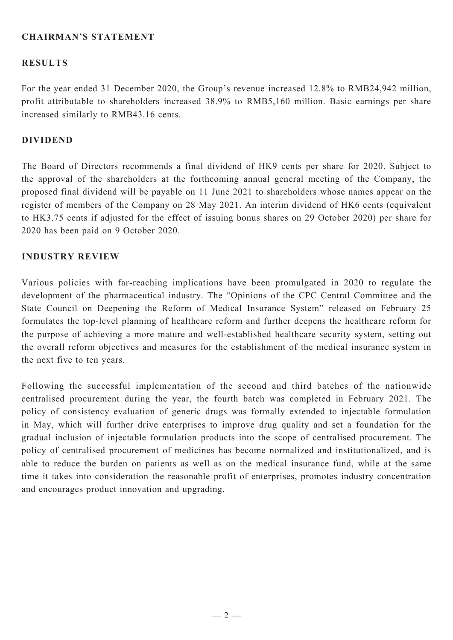## **Chairman's Statement**

#### **RESULTS**

For the year ended 31 December 2020, the Group's revenue increased 12.8% to RMB24,942 million, profit attributable to shareholders increased 38.9% to RMB5,160 million. Basic earnings per share increased similarly to RMB43.16 cents.

#### **DIVIDEND**

The Board of Directors recommends a final dividend of HK9 cents per share for 2020. Subject to the approval of the shareholders at the forthcoming annual general meeting of the Company, the proposed final dividend will be payable on 11 June 2021 to shareholders whose names appear on the register of members of the Company on 28 May 2021. An interim dividend of HK6 cents (equivalent to HK3.75 cents if adjusted for the effect of issuing bonus shares on 29 October 2020) per share for 2020 has been paid on 9 October 2020.

#### **INDUSTRY REVIEW**

Various policies with far-reaching implications have been promulgated in 2020 to regulate the development of the pharmaceutical industry. The "Opinions of the CPC Central Committee and the State Council on Deepening the Reform of Medical Insurance System" released on February 25 formulates the top-level planning of healthcare reform and further deepens the healthcare reform for the purpose of achieving a more mature and well-established healthcare security system, setting out the overall reform objectives and measures for the establishment of the medical insurance system in the next five to ten years.

Following the successful implementation of the second and third batches of the nationwide centralised procurement during the year, the fourth batch was completed in February 2021. The policy of consistency evaluation of generic drugs was formally extended to injectable formulation in May, which will further drive enterprises to improve drug quality and set a foundation for the gradual inclusion of injectable formulation products into the scope of centralised procurement. The policy of centralised procurement of medicines has become normalized and institutionalized, and is able to reduce the burden on patients as well as on the medical insurance fund, while at the same time it takes into consideration the reasonable profit of enterprises, promotes industry concentration and encourages product innovation and upgrading.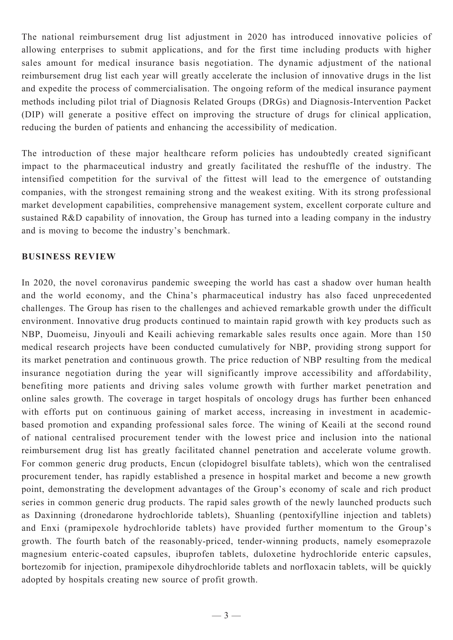The national reimbursement drug list adjustment in 2020 has introduced innovative policies of allowing enterprises to submit applications, and for the first time including products with higher sales amount for medical insurance basis negotiation. The dynamic adjustment of the national reimbursement drug list each year will greatly accelerate the inclusion of innovative drugs in the list and expedite the process of commercialisation. The ongoing reform of the medical insurance payment methods including pilot trial of Diagnosis Related Groups (DRGs) and Diagnosis-Intervention Packet (DIP) will generate a positive effect on improving the structure of drugs for clinical application, reducing the burden of patients and enhancing the accessibility of medication.

The introduction of these major healthcare reform policies has undoubtedly created significant impact to the pharmaceutical industry and greatly facilitated the reshuffle of the industry. The intensified competition for the survival of the fittest will lead to the emergence of outstanding companies, with the strongest remaining strong and the weakest exiting. With its strong professional market development capabilities, comprehensive management system, excellent corporate culture and sustained R&D capability of innovation, the Group has turned into a leading company in the industry and is moving to become the industry's benchmark.

#### **BUSINESS REVIEW**

In 2020, the novel coronavirus pandemic sweeping the world has cast a shadow over human health and the world economy, and the China's pharmaceutical industry has also faced unprecedented challenges. The Group has risen to the challenges and achieved remarkable growth under the difficult environment. Innovative drug products continued to maintain rapid growth with key products such as NBP, Duomeisu, Jinyouli and Keaili achieving remarkable sales results once again. More than 150 medical research projects have been conducted cumulatively for NBP, providing strong support for its market penetration and continuous growth. The price reduction of NBP resulting from the medical insurance negotiation during the year will significantly improve accessibility and affordability, benefiting more patients and driving sales volume growth with further market penetration and online sales growth. The coverage in target hospitals of oncology drugs has further been enhanced with efforts put on continuous gaining of market access, increasing in investment in academicbased promotion and expanding professional sales force. The wining of Keaili at the second round of national centralised procurement tender with the lowest price and inclusion into the national reimbursement drug list has greatly facilitated channel penetration and accelerate volume growth. For common generic drug products, Encun (clopidogrel bisulfate tablets), which won the centralised procurement tender, has rapidly established a presence in hospital market and become a new growth point, demonstrating the development advantages of the Group's economy of scale and rich product series in common generic drug products. The rapid sales growth of the newly launched products such as Daxinning (dronedarone hydrochloride tablets), Shuanling (pentoxifylline injection and tablets) and Enxi (pramipexole hydrochloride tablets) have provided further momentum to the Group's growth. The fourth batch of the reasonably-priced, tender-winning products, namely esomeprazole magnesium enteric-coated capsules, ibuprofen tablets, duloxetine hydrochloride enteric capsules, bortezomib for injection, pramipexole dihydrochloride tablets and norfloxacin tablets, will be quickly adopted by hospitals creating new source of profit growth.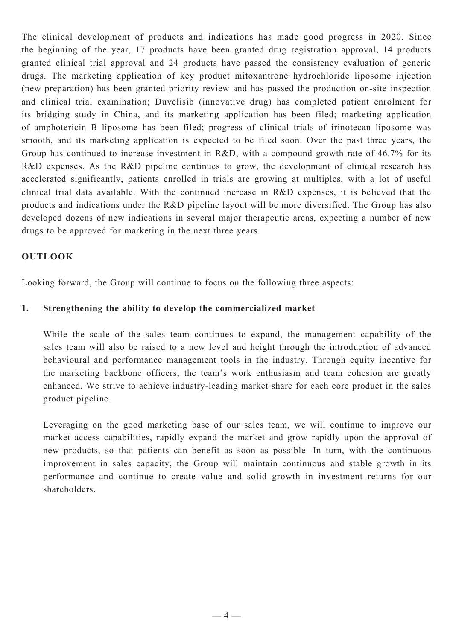The clinical development of products and indications has made good progress in 2020. Since the beginning of the year, 17 products have been granted drug registration approval, 14 products granted clinical trial approval and 24 products have passed the consistency evaluation of generic drugs. The marketing application of key product mitoxantrone hydrochloride liposome injection (new preparation) has been granted priority review and has passed the production on-site inspection and clinical trial examination; Duvelisib (innovative drug) has completed patient enrolment for its bridging study in China, and its marketing application has been filed; marketing application of amphotericin B liposome has been filed; progress of clinical trials of irinotecan liposome was smooth, and its marketing application is expected to be filed soon. Over the past three years, the Group has continued to increase investment in R&D, with a compound growth rate of 46.7% for its R&D expenses. As the R&D pipeline continues to grow, the development of clinical research has accelerated significantly, patients enrolled in trials are growing at multiples, with a lot of useful clinical trial data available. With the continued increase in R&D expenses, it is believed that the products and indications under the R&D pipeline layout will be more diversified. The Group has also developed dozens of new indications in several major therapeutic areas, expecting a number of new drugs to be approved for marketing in the next three years.

## **OUTLOOK**

Looking forward, the Group will continue to focus on the following three aspects:

#### **1. Strengthening the ability to develop the commercialized market**

While the scale of the sales team continues to expand, the management capability of the sales team will also be raised to a new level and height through the introduction of advanced behavioural and performance management tools in the industry. Through equity incentive for the marketing backbone officers, the team's work enthusiasm and team cohesion are greatly enhanced. We strive to achieve industry-leading market share for each core product in the sales product pipeline.

Leveraging on the good marketing base of our sales team, we will continue to improve our market access capabilities, rapidly expand the market and grow rapidly upon the approval of new products, so that patients can benefit as soon as possible. In turn, with the continuous improvement in sales capacity, the Group will maintain continuous and stable growth in its performance and continue to create value and solid growth in investment returns for our shareholders.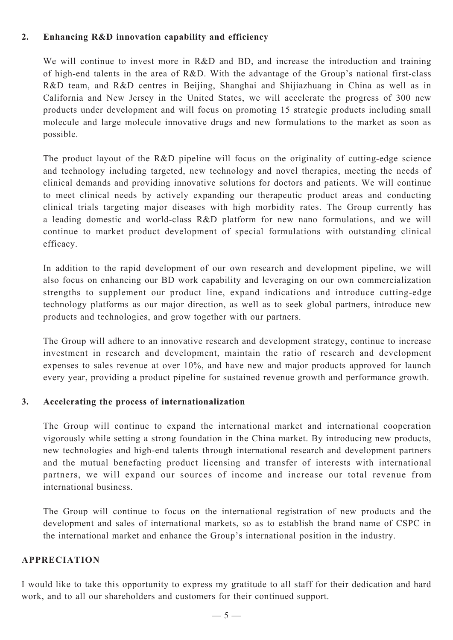## **2. Enhancing R&D innovation capability and efficiency**

We will continue to invest more in R&D and BD, and increase the introduction and training of high-end talents in the area of R&D. With the advantage of the Group's national first-class R&D team, and R&D centres in Beijing, Shanghai and Shijiazhuang in China as well as in California and New Jersey in the United States, we will accelerate the progress of 300 new products under development and will focus on promoting 15 strategic products including small molecule and large molecule innovative drugs and new formulations to the market as soon as possible.

The product layout of the R&D pipeline will focus on the originality of cutting-edge science and technology including targeted, new technology and novel therapies, meeting the needs of clinical demands and providing innovative solutions for doctors and patients. We will continue to meet clinical needs by actively expanding our therapeutic product areas and conducting clinical trials targeting major diseases with high morbidity rates. The Group currently has a leading domestic and world-class R&D platform for new nano formulations, and we will continue to market product development of special formulations with outstanding clinical efficacy.

In addition to the rapid development of our own research and development pipeline, we will also focus on enhancing our BD work capability and leveraging on our own commercialization strengths to supplement our product line, expand indications and introduce cutting-edge technology platforms as our major direction, as well as to seek global partners, introduce new products and technologies, and grow together with our partners.

The Group will adhere to an innovative research and development strategy, continue to increase investment in research and development, maintain the ratio of research and development expenses to sales revenue at over 10%, and have new and major products approved for launch every year, providing a product pipeline for sustained revenue growth and performance growth.

## **3. Accelerating the process of internationalization**

The Group will continue to expand the international market and international cooperation vigorously while setting a strong foundation in the China market. By introducing new products, new technologies and high-end talents through international research and development partners and the mutual benefacting product licensing and transfer of interests with international partners, we will expand our sources of income and increase our total revenue from international business.

The Group will continue to focus on the international registration of new products and the development and sales of international markets, so as to establish the brand name of CSPC in the international market and enhance the Group's international position in the industry.

## **APPRECIATION**

I would like to take this opportunity to express my gratitude to all staff for their dedication and hard work, and to all our shareholders and customers for their continued support.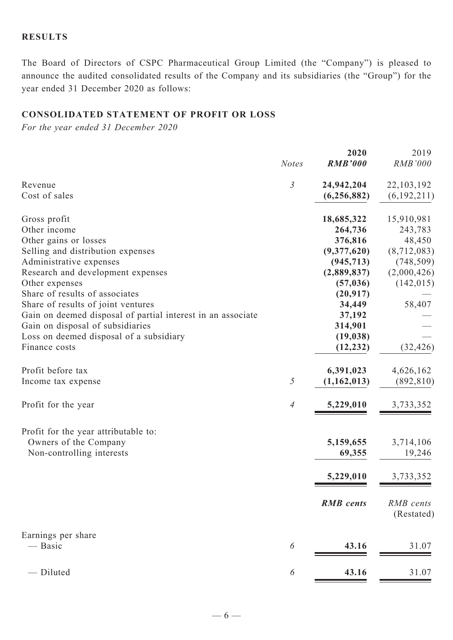#### **RESULTS**

The Board of Directors of CSPC Pharmaceutical Group Limited (the "Company") is pleased to announce the audited consolidated results of the Company and its subsidiaries (the "Group") for the year ended 31 December 2020 as follows:

## **CONSOLIDATED STATEMENT OF PROFIT OR LOSS**

*For the year ended 31 December 2020*

|                                                             | <b>Notes</b>   | 2020<br><b>RMB'000</b> | 2019<br><b>RMB'000</b>  |
|-------------------------------------------------------------|----------------|------------------------|-------------------------|
| Revenue                                                     | $\mathfrak{Z}$ | 24,942,204             | 22, 103, 192            |
| Cost of sales                                               |                | (6, 256, 882)          | (6,192,211)             |
| Gross profit                                                |                | 18,685,322             | 15,910,981              |
| Other income                                                |                | 264,736                | 243,783                 |
| Other gains or losses                                       |                | 376,816                | 48,450                  |
| Selling and distribution expenses                           |                | (9,377,620)            | (8,712,083)             |
| Administrative expenses                                     |                | (945, 713)             | (748, 509)              |
| Research and development expenses                           |                | (2,889,837)            | (2,000,426)             |
| Other expenses                                              |                | (57, 036)              | (142, 015)              |
| Share of results of associates                              |                | (20, 917)              |                         |
| Share of results of joint ventures                          |                | 34,449                 | 58,407                  |
| Gain on deemed disposal of partial interest in an associate |                | 37,192                 |                         |
| Gain on disposal of subsidiaries                            |                | 314,901                |                         |
| Loss on deemed disposal of a subsidiary                     |                | (19, 038)              |                         |
| Finance costs                                               |                | (12, 232)              | (32, 426)               |
| Profit before tax                                           |                | 6,391,023              | 4,626,162               |
| Income tax expense                                          | 5              | (1,162,013)            | (892, 810)              |
| Profit for the year                                         | $\overline{A}$ | 5,229,010              | 3,733,352               |
| Profit for the year attributable to:                        |                |                        |                         |
| Owners of the Company                                       |                | 5,159,655              | 3,714,106               |
| Non-controlling interests                                   |                | 69,355                 | 19,246                  |
|                                                             |                |                        |                         |
|                                                             |                | 5,229,010              | 3,733,352               |
|                                                             |                |                        |                         |
|                                                             |                | <b>RMB</b> cents       | RMB cents<br>(Restated) |
|                                                             |                |                        |                         |
| Earnings per share                                          |                |                        |                         |
| — Basic                                                     | 6              | 43.16                  | 31.07                   |
| - Diluted                                                   | 6              | 43.16                  | 31.07                   |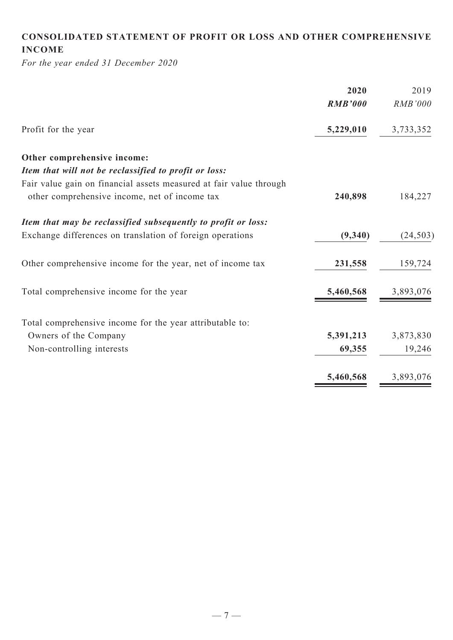## **CONSOLIDATED STATEMENT OF PROFIT OR LOSS AND OTHER COMPREHENSIVE INCOME**

*For the year ended 31 December 2020*

|                                                                    | 2020           | 2019      |
|--------------------------------------------------------------------|----------------|-----------|
|                                                                    | <b>RMB'000</b> | RMB'000   |
| Profit for the year                                                | 5,229,010      | 3,733,352 |
| Other comprehensive income:                                        |                |           |
| Item that will not be reclassified to profit or loss:              |                |           |
| Fair value gain on financial assets measured at fair value through |                |           |
| other comprehensive income, net of income tax                      | 240,898        | 184,227   |
| Item that may be reclassified subsequently to profit or loss:      |                |           |
| Exchange differences on translation of foreign operations          | (9,340)        | (24, 503) |
| Other comprehensive income for the year, net of income tax         | 231,558        | 159,724   |
| Total comprehensive income for the year                            | 5,460,568      | 3,893,076 |
| Total comprehensive income for the year attributable to:           |                |           |
| Owners of the Company                                              | 5,391,213      | 3,873,830 |
| Non-controlling interests                                          | 69,355         | 19,246    |
|                                                                    | 5,460,568      | 3,893,076 |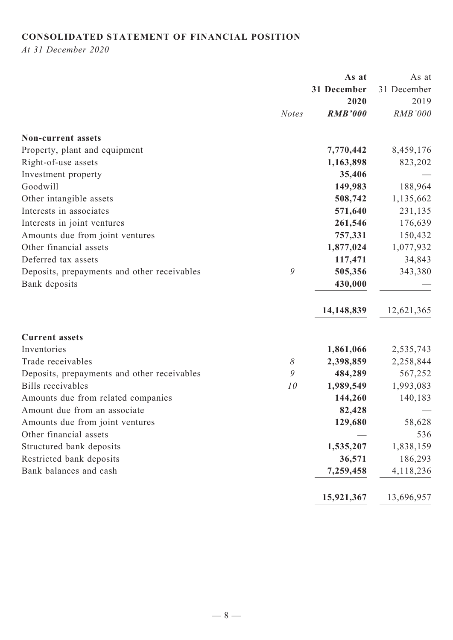## **CONSOLIDATED STATEMENT OF FINANCIAL POSITION**

*At 31 December 2020*

|                                             |              | As at          | As at          |
|---------------------------------------------|--------------|----------------|----------------|
|                                             |              | 31 December    | 31 December    |
|                                             |              | 2020           | 2019           |
|                                             | <b>Notes</b> | <b>RMB'000</b> | <b>RMB'000</b> |
| <b>Non-current assets</b>                   |              |                |                |
| Property, plant and equipment               |              | 7,770,442      | 8,459,176      |
| Right-of-use assets                         |              | 1,163,898      | 823,202        |
| Investment property                         |              | 35,406         |                |
| Goodwill                                    |              | 149,983        | 188,964        |
| Other intangible assets                     |              | 508,742        | 1,135,662      |
| Interests in associates                     |              | 571,640        | 231,135        |
| Interests in joint ventures                 |              | 261,546        | 176,639        |
| Amounts due from joint ventures             |              | 757,331        | 150,432        |
| Other financial assets                      |              | 1,877,024      | 1,077,932      |
| Deferred tax assets                         |              | 117,471        | 34,843         |
| Deposits, prepayments and other receivables | 9            | 505,356        | 343,380        |
| Bank deposits                               |              | 430,000        |                |
|                                             |              | 14,148,839     | 12,621,365     |
| <b>Current assets</b>                       |              |                |                |
| Inventories                                 |              | 1,861,066      | 2,535,743      |
| Trade receivables                           | $\delta$     | 2,398,859      | 2,258,844      |
| Deposits, prepayments and other receivables | 9            | 484,289        | 567,252        |
| Bills receivables                           | 10           | 1,989,549      | 1,993,083      |
| Amounts due from related companies          |              | 144,260        | 140,183        |
| Amount due from an associate                |              | 82,428         |                |
| Amounts due from joint ventures             |              | 129,680        | 58,628         |
| Other financial assets                      |              |                | 536            |
| Structured bank deposits                    |              | 1,535,207      | 1,838,159      |
| Restricted bank deposits                    |              | 36,571         | 186,293        |
| Bank balances and cash                      |              | 7,259,458      | 4,118,236      |
|                                             |              | 15,921,367     | 13,696,957     |
|                                             |              |                |                |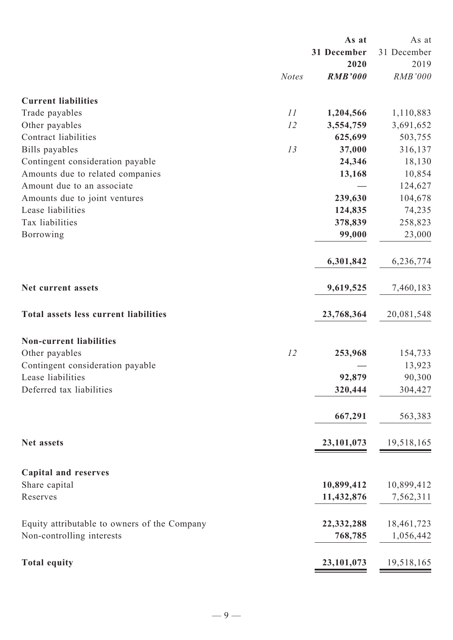|                                              |              | As at          | As at          |
|----------------------------------------------|--------------|----------------|----------------|
|                                              |              | 31 December    | 31 December    |
|                                              |              | 2020           | 2019           |
|                                              | <b>Notes</b> | <b>RMB'000</b> | <b>RMB'000</b> |
|                                              |              |                |                |
| <b>Current liabilities</b>                   |              |                |                |
| Trade payables                               | 11           | 1,204,566      | 1,110,883      |
| Other payables                               | 12           | 3,554,759      | 3,691,652      |
| Contract liabilities                         |              | 625,699        | 503,755        |
| Bills payables                               | 13           | 37,000         | 316,137        |
| Contingent consideration payable             |              | 24,346         | 18,130         |
| Amounts due to related companies             |              | 13,168         | 10,854         |
| Amount due to an associate                   |              |                | 124,627        |
| Amounts due to joint ventures                |              | 239,630        | 104,678        |
| Lease liabilities                            |              | 124,835        | 74,235         |
| Tax liabilities                              |              | 378,839        | 258,823        |
| Borrowing                                    |              | 99,000         | 23,000         |
|                                              |              |                |                |
|                                              |              | 6,301,842      | 6,236,774      |
|                                              |              |                |                |
|                                              |              |                |                |
| Net current assets                           |              | 9,619,525      | 7,460,183      |
|                                              |              |                |                |
| Total assets less current liabilities        |              | 23,768,364     | 20,081,548     |
|                                              |              |                |                |
| <b>Non-current liabilities</b>               |              |                |                |
| Other payables                               | 12           | 253,968        | 154,733        |
| Contingent consideration payable             |              |                | 13,923         |
| Lease liabilities                            |              | 92,879         | 90,300         |
| Deferred tax liabilities                     |              | 320,444        | 304,427        |
|                                              |              |                |                |
|                                              |              | 667,291        | 563,383        |
|                                              |              |                |                |
| Net assets                                   |              | 23,101,073     | 19,518,165     |
|                                              |              |                |                |
| <b>Capital and reserves</b>                  |              |                |                |
| Share capital                                |              | 10,899,412     | 10,899,412     |
| Reserves                                     |              | 11,432,876     | 7,562,311      |
|                                              |              |                |                |
|                                              |              |                |                |
| Equity attributable to owners of the Company |              | 22,332,288     | 18,461,723     |
| Non-controlling interests                    |              | 768,785        | 1,056,442      |
|                                              |              |                |                |
| <b>Total equity</b>                          |              | 23,101,073     | 19,518,165     |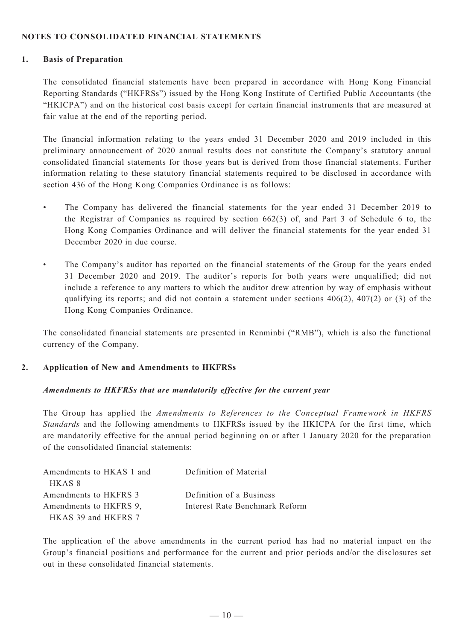#### **NOTES TO consolidated FINANCIAL STATEMENTS**

#### **1. Basis of Preparation**

The consolidated financial statements have been prepared in accordance with Hong Kong Financial Reporting Standards ("HKFRSs") issued by the Hong Kong Institute of Certified Public Accountants (the "HKICPA") and on the historical cost basis except for certain financial instruments that are measured at fair value at the end of the reporting period.

The financial information relating to the years ended 31 December 2020 and 2019 included in this preliminary announcement of 2020 annual results does not constitute the Company's statutory annual consolidated financial statements for those years but is derived from those financial statements. Further information relating to these statutory financial statements required to be disclosed in accordance with section 436 of the Hong Kong Companies Ordinance is as follows:

- The Company has delivered the financial statements for the year ended 31 December 2019 to the Registrar of Companies as required by section 662(3) of, and Part 3 of Schedule 6 to, the Hong Kong Companies Ordinance and will deliver the financial statements for the year ended 31 December 2020 in due course.
- The Company's auditor has reported on the financial statements of the Group for the years ended 31 December 2020 and 2019. The auditor's reports for both years were unqualified; did not include a reference to any matters to which the auditor drew attention by way of emphasis without qualifying its reports; and did not contain a statement under sections  $406(2)$ ,  $407(2)$  or (3) of the Hong Kong Companies Ordinance.

The consolidated financial statements are presented in Renminbi ("RMB"), which is also the functional currency of the Company.

#### **2. Application of New and Amendments to HKFRSs**

#### *Amendments to HKFRSs that are mandatorily effective for the current year*

The Group has applied the *Amendments to References to the Conceptual Framework in HKFRS Standards* and the following amendments to HKFRSs issued by the HKICPA for the first time, which are mandatorily effective for the annual period beginning on or after 1 January 2020 for the preparation of the consolidated financial statements:

| Amendments to HKAS 1 and | Definition of Material         |
|--------------------------|--------------------------------|
| HKAS <sup>8</sup>        |                                |
| Amendments to HKFRS 3    | Definition of a Business       |
| Amendments to HKFRS 9,   | Interest Rate Benchmark Reform |
| HKAS 39 and HKFRS 7      |                                |

The application of the above amendments in the current period has had no material impact on the Group's financial positions and performance for the current and prior periods and/or the disclosures set out in these consolidated financial statements.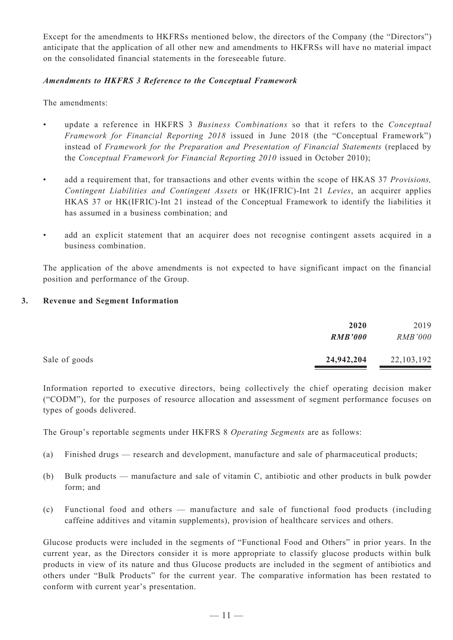Except for the amendments to HKFRSs mentioned below, the directors of the Company (the "Directors") anticipate that the application of all other new and amendments to HKFRSs will have no material impact on the consolidated financial statements in the foreseeable future.

#### *Amendments to HKFRS 3 Reference to the Conceptual Framework*

The amendments:

- • update a reference in HKFRS 3 *Business Combinations* so that it refers to the *Conceptual Framework for Financial Reporting 2018* issued in June 2018 (the "Conceptual Framework") instead of *Framework for the Preparation and Presentation of Financial Statements* (replaced by the *Conceptual Framework for Financial Reporting 2010* issued in October 2010);
- • add a requirement that, for transactions and other events within the scope of HKAS 37 *Provisions, Contingent Liabilities and Contingent Assets* or HK(IFRIC)-Int 21 *Levies*, an acquirer applies HKAS 37 or HK(IFRIC)-Int 21 instead of the Conceptual Framework to identify the liabilities it has assumed in a business combination; and
- • add an explicit statement that an acquirer does not recognise contingent assets acquired in a business combination.

The application of the above amendments is not expected to have significant impact on the financial position and performance of the Group.

#### **3. Revenue and Segment Information**

|               | 2020           | 2019           |
|---------------|----------------|----------------|
|               | <b>RMB'000</b> | <b>RMB'000</b> |
| Sale of goods | 24,942,204     | 22, 103, 192   |

Information reported to executive directors, being collectively the chief operating decision maker ("CODM"), for the purposes of resource allocation and assessment of segment performance focuses on types of goods delivered.

The Group's reportable segments under HKFRS 8 *Operating Segments* are as follows:

- (a) Finished drugs research and development, manufacture and sale of pharmaceutical products;
- (b) Bulk products manufacture and sale of vitamin C, antibiotic and other products in bulk powder form; and
- (c) Functional food and others manufacture and sale of functional food products (including caffeine additives and vitamin supplements), provision of healthcare services and others.

Glucose products were included in the segments of "Functional Food and Others" in prior years. In the current year, as the Directors consider it is more appropriate to classify glucose products within bulk products in view of its nature and thus Glucose products are included in the segment of antibiotics and others under "Bulk Products" for the current year. The comparative information has been restated to conform with current year's presentation.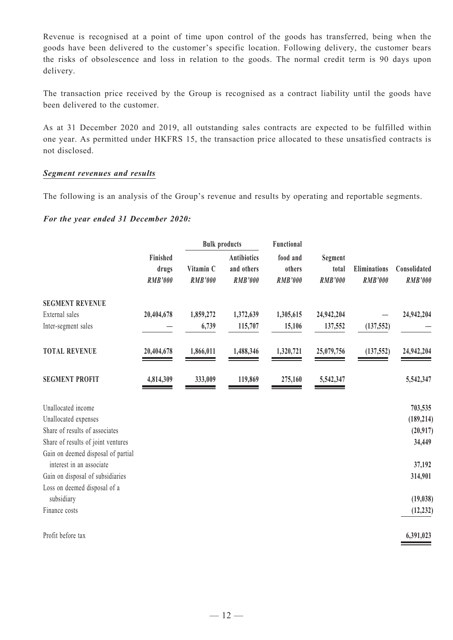Revenue is recognised at a point of time upon control of the goods has transferred, being when the goods have been delivered to the customer's specific location. Following delivery, the customer bears the risks of obsolescence and loss in relation to the goods. The normal credit term is 90 days upon delivery.

The transaction price received by the Group is recognised as a contract liability until the goods have been delivered to the customer.

As at 31 December 2020 and 2019, all outstanding sales contracts are expected to be fulfilled within one year. As permitted under HKFRS 15, the transaction price allocated to these unsatisfied contracts is not disclosed.

#### *Segment revenues and results*

The following is an analysis of the Group's revenue and results by operating and reportable segments.

#### *For the year ended 31 December 2020:*

|                                                                | Finished<br>drugs<br><b>RMB'000</b> |                             | <b>Bulk products</b>                               | Functional                           |                                    |                                       |                                |
|----------------------------------------------------------------|-------------------------------------|-----------------------------|----------------------------------------------------|--------------------------------------|------------------------------------|---------------------------------------|--------------------------------|
|                                                                |                                     | Vitamin C<br><b>RMB'000</b> | <b>Antibiotics</b><br>and others<br><b>RMB'000</b> | food and<br>others<br><b>RMB'000</b> | Segment<br>total<br><b>RMB'000</b> | <b>Eliminations</b><br><b>RMB'000</b> | Consolidated<br><b>RMB'000</b> |
| <b>SEGMENT REVENUE</b>                                         |                                     |                             |                                                    |                                      |                                    |                                       |                                |
| External sales                                                 | 20,404,678                          | 1,859,272                   | 1,372,639                                          | 1,305,615                            | 24,942,204                         |                                       | 24,942,204                     |
| Inter-segment sales                                            |                                     | 6,739                       | 115,707                                            | 15,106                               | 137,552                            | (137, 552)                            |                                |
| <b>TOTAL REVENUE</b>                                           | 20,404,678                          | 1,866,011                   | 1,488,346                                          | 1,320,721                            | 25,079,756                         | (137, 552)                            | 24,942,204                     |
| <b>SEGMENT PROFIT</b>                                          | 4,814,309                           | 333,009                     | 119,869                                            | 275,160                              | 5,542,347                          |                                       | 5,542,347                      |
| Unallocated income                                             |                                     |                             |                                                    |                                      |                                    |                                       | 703,535                        |
| Unallocated expenses                                           |                                     |                             |                                                    |                                      |                                    |                                       | (189, 214)                     |
| Share of results of associates                                 |                                     |                             |                                                    |                                      |                                    |                                       | (20, 917)                      |
| Share of results of joint ventures                             |                                     |                             |                                                    |                                      |                                    |                                       | 34,449                         |
| Gain on deemed disposal of partial<br>interest in an associate |                                     |                             |                                                    |                                      |                                    |                                       | 37,192                         |
| Gain on disposal of subsidiaries                               |                                     |                             |                                                    |                                      |                                    |                                       | 314,901                        |
| Loss on deemed disposal of a<br>subsidiary                     |                                     |                             |                                                    |                                      |                                    |                                       | (19, 038)                      |
| Finance costs                                                  |                                     |                             |                                                    |                                      |                                    |                                       | (12, 232)                      |
| Profit before tax                                              |                                     |                             |                                                    |                                      |                                    |                                       | 6,391,023                      |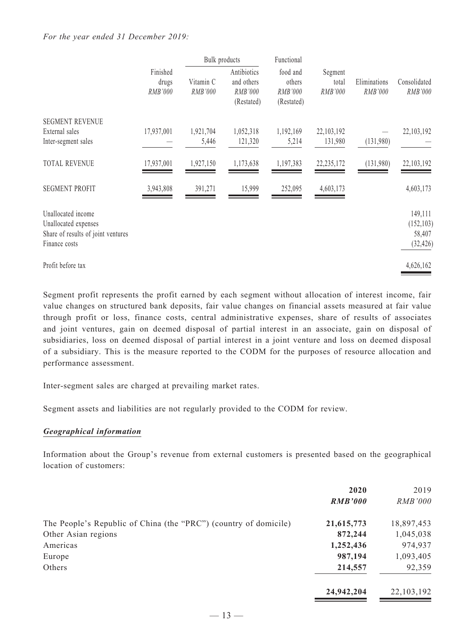#### *For the year ended 31 December 2019:*

|                                    |                              | Bulk products        |                                                    | Functional                                  |                             |                         |                         |
|------------------------------------|------------------------------|----------------------|----------------------------------------------------|---------------------------------------------|-----------------------------|-------------------------|-------------------------|
|                                    | Finished<br>drugs<br>RMB'000 | Vitamin C<br>RMB'000 | Antibiotics<br>and others<br>RMB'000<br>(Restated) | food and<br>others<br>RMB'000<br>(Restated) | Segment<br>total<br>RMB'000 | Eliminations<br>RMB'000 | Consolidated<br>RMB'000 |
| <b>SEGMENT REVENUE</b>             |                              |                      |                                                    |                                             |                             |                         |                         |
| External sales                     | 17,937,001                   | 1,921,704            | 1,052,318                                          | 1,192,169                                   | 22, 103, 192                |                         | 22,103,192              |
| Inter-segment sales                |                              | 5,446                | 121,320                                            | 5,214                                       | 131,980                     | (131,980)               |                         |
| <b>TOTAL REVENUE</b>               | 17,937,001                   | 1,927,150            | 1,173,638                                          | 1,197,383                                   | 22, 235, 172                | (131,980)               | 22,103,192              |
| <b>SEGMENT PROFIT</b>              | 3,943,808                    | 391,271              | 15,999                                             | 252,095                                     | 4,603,173                   |                         | 4,603,173               |
| Unallocated income                 |                              |                      |                                                    |                                             |                             |                         | 149,111                 |
| Unallocated expenses               |                              |                      |                                                    |                                             |                             |                         | (152, 103)              |
| Share of results of joint ventures |                              |                      |                                                    |                                             |                             |                         | 58,407                  |
| Finance costs                      |                              |                      |                                                    |                                             |                             |                         | (32, 426)               |
| Profit before tax                  |                              |                      |                                                    |                                             |                             |                         | 4,626,162               |

Segment profit represents the profit earned by each segment without allocation of interest income, fair value changes on structured bank deposits, fair value changes on financial assets measured at fair value through profit or loss, finance costs, central administrative expenses, share of results of associates and joint ventures, gain on deemed disposal of partial interest in an associate, gain on disposal of subsidiaries, loss on deemed disposal of partial interest in a joint venture and loss on deemed disposal of a subsidiary. This is the measure reported to the CODM for the purposes of resource allocation and performance assessment.

Inter-segment sales are charged at prevailing market rates.

Segment assets and liabilities are not regularly provided to the CODM for review.

#### *Geographical information*

Information about the Group's revenue from external customers is presented based on the geographical location of customers:

|                                                                  | 2020           | 2019           |
|------------------------------------------------------------------|----------------|----------------|
|                                                                  | <b>RMB'000</b> | <b>RMB'000</b> |
| The People's Republic of China (the "PRC") (country of domicile) | 21,615,773     | 18,897,453     |
| Other Asian regions                                              | 872,244        | 1,045,038      |
| Americas                                                         | 1,252,436      | 974,937        |
| Europe                                                           | 987,194        | 1,093,405      |
| Others                                                           | 214,557        | 92,359         |
|                                                                  | 24,942,204     | 22,103,192     |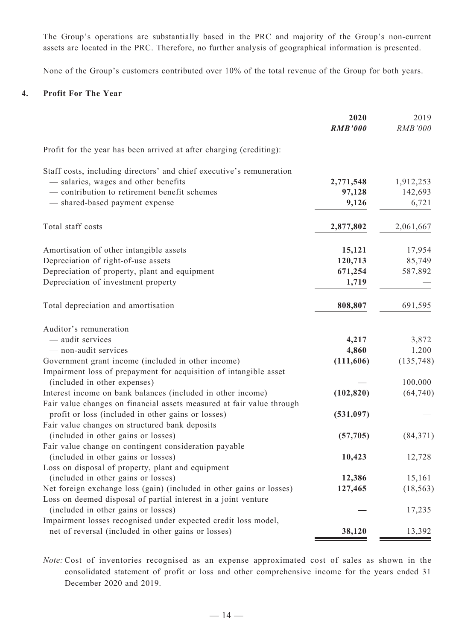The Group's operations are substantially based in the PRC and majority of the Group's non-current assets are located in the PRC. Therefore, no further analysis of geographical information is presented.

None of the Group's customers contributed over 10% of the total revenue of the Group for both years.

#### **4. Profit For The Year**

|                                                                                                                                        | 2020<br><b>RMB'000</b> | 2019<br><b>RMB'000</b> |
|----------------------------------------------------------------------------------------------------------------------------------------|------------------------|------------------------|
| Profit for the year has been arrived at after charging (crediting):                                                                    |                        |                        |
| Staff costs, including directors' and chief executive's remuneration                                                                   |                        |                        |
| - salaries, wages and other benefits                                                                                                   | 2,771,548              | 1,912,253              |
| - contribution to retirement benefit schemes                                                                                           | 97,128                 | 142,693                |
| - shared-based payment expense                                                                                                         | 9,126                  | 6,721                  |
| Total staff costs                                                                                                                      | 2,877,802              | 2,061,667              |
| Amortisation of other intangible assets                                                                                                | 15,121                 | 17,954                 |
| Depreciation of right-of-use assets                                                                                                    | 120,713                | 85,749                 |
| Depreciation of property, plant and equipment                                                                                          | 671,254                | 587,892                |
| Depreciation of investment property                                                                                                    | 1,719                  |                        |
| Total depreciation and amortisation                                                                                                    | 808,807                | 691,595                |
| Auditor's remuneration                                                                                                                 |                        |                        |
| - audit services                                                                                                                       | 4,217                  | 3,872                  |
| - non-audit services                                                                                                                   | 4,860                  | 1,200                  |
| Government grant income (included in other income)                                                                                     | (111,606)              | (135, 748)             |
| Impairment loss of prepayment for acquisition of intangible asset                                                                      |                        |                        |
| (included in other expenses)                                                                                                           |                        | 100,000                |
| Interest income on bank balances (included in other income)<br>Fair value changes on financial assets measured at fair value through   | (102, 820)             | (64, 740)              |
| profit or loss (included in other gains or losses)<br>Fair value changes on structured bank deposits                                   | (531,097)              |                        |
| (included in other gains or losses)                                                                                                    | (57, 705)              | (84, 371)              |
| Fair value change on contingent consideration payable                                                                                  |                        |                        |
| (included in other gains or losses)                                                                                                    | 10,423                 | 12,728                 |
| Loss on disposal of property, plant and equipment                                                                                      |                        |                        |
| (included in other gains or losses)                                                                                                    | 12,386                 | 15,161                 |
| Net foreign exchange loss (gain) (included in other gains or losses)<br>Loss on deemed disposal of partial interest in a joint venture | 127,465                | (18, 563)              |
| (included in other gains or losses)                                                                                                    |                        | 17,235                 |
| Impairment losses recognised under expected credit loss model,<br>net of reversal (included in other gains or losses)                  | 38,120                 | 13,392                 |

*Note:* Cost of inventories recognised as an expense approximated cost of sales as shown in the consolidated statement of profit or loss and other comprehensive income for the years ended 31 December 2020 and 2019.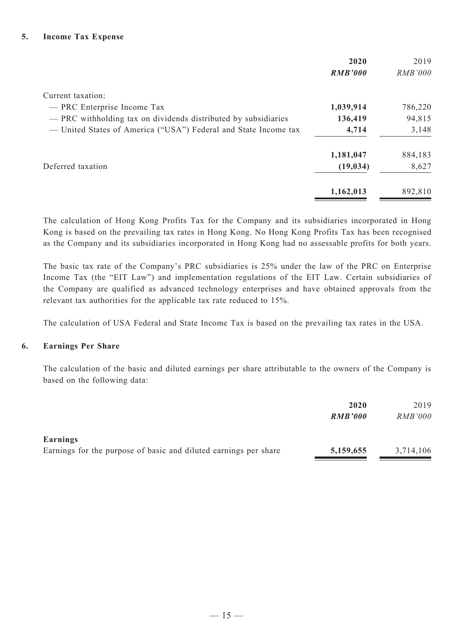|                                                                 | 2020           | 2019           |
|-----------------------------------------------------------------|----------------|----------------|
|                                                                 | <b>RMB'000</b> | <b>RMB'000</b> |
| Current taxation:                                               |                |                |
| - PRC Enterprise Income Tax                                     | 1,039,914      | 786,220        |
| - PRC withholding tax on dividends distributed by subsidiaries  | 136,419        | 94,815         |
| - United States of America ("USA") Federal and State Income tax | 4,714          | 3,148          |
|                                                                 | 1,181,047      | 884,183        |
| Deferred taxation                                               | (19, 034)      | 8,627          |
|                                                                 | 1,162,013      | 892,810        |
|                                                                 |                |                |

The calculation of Hong Kong Profits Tax for the Company and its subsidiaries incorporated in Hong Kong is based on the prevailing tax rates in Hong Kong. No Hong Kong Profits Tax has been recognised as the Company and its subsidiaries incorporated in Hong Kong had no assessable profits for both years.

The basic tax rate of the Company's PRC subsidiaries is 25% under the law of the PRC on Enterprise Income Tax (the "EIT Law") and implementation regulations of the EIT Law. Certain subsidiaries of the Company are qualified as advanced technology enterprises and have obtained approvals from the relevant tax authorities for the applicable tax rate reduced to 15%.

The calculation of USA Federal and State Income Tax is based on the prevailing tax rates in the USA.

#### **6. Earnings Per Share**

The calculation of the basic and diluted earnings per share attributable to the owners of the Company is based on the following data:

|                                                                  | 2020           | 2019      |
|------------------------------------------------------------------|----------------|-----------|
|                                                                  | <b>RMB'000</b> | RMB'000   |
| Earnings                                                         |                |           |
| Earnings for the purpose of basic and diluted earnings per share | 5,159,655      | 3,714,106 |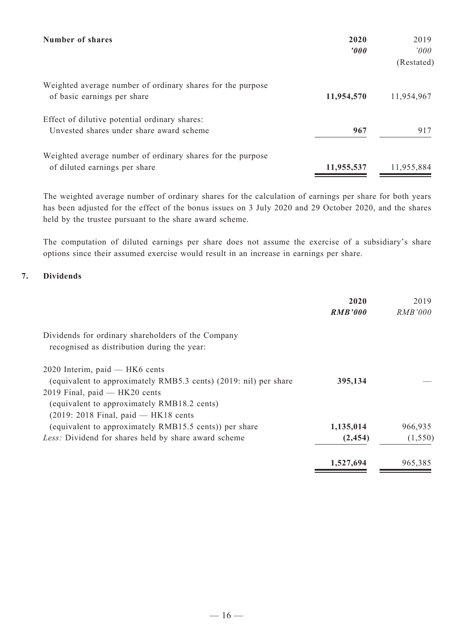| Number of shares                                           | 2020<br>$\boldsymbol{\theta}$ | 2019<br>000' |
|------------------------------------------------------------|-------------------------------|--------------|
|                                                            |                               | (Restated)   |
| Weighted average number of ordinary shares for the purpose |                               |              |
| of basic earnings per share                                | 11,954,570                    | 11,954,967   |
| Effect of dilutive potential ordinary shares:              |                               |              |
| Unvested shares under share award scheme                   | 967                           | 917          |
| Weighted average number of ordinary shares for the purpose |                               |              |
| of diluted earnings per share                              | 11,955,537                    | 11,955,884   |

The weighted average number of ordinary shares for the calculation of earnings per share for both years has been adjusted for the effect of the bonus issues on 3 July 2020 and 29 October 2020, and the shares held by the trustee pursuant to the share award scheme.

The computation of diluted earnings per share does not assume the exercise of a subsidiary's share options since their assumed exercise would result in an increase in earnings per share.

#### **7. Dividends**

|                                                                                                                                                                                                                                  | 2020<br><b>RMB'000</b> | 2019<br><i>RMB'000</i> |
|----------------------------------------------------------------------------------------------------------------------------------------------------------------------------------------------------------------------------------|------------------------|------------------------|
| Dividends for ordinary shareholders of the Company<br>recognised as distribution during the year:                                                                                                                                |                        |                        |
| 2020 Interim, paid — HK6 cents<br>(equivalent to approximately RMB5.3 cents) (2019: nil) per share<br>2019 Final, paid $-$ HK20 cents<br>(equivalent to approximately RMB18.2 cents)<br>$(2019: 2018$ Final, paid $-$ HK18 cents | 395,134                |                        |
| (equivalent to approximately RMB15.5 cents)) per share                                                                                                                                                                           | 1,135,014              | 966,935                |
| Less: Dividend for shares held by share award scheme                                                                                                                                                                             | (2, 454)               | (1, 550)               |
|                                                                                                                                                                                                                                  | 1,527,694              | 965,385                |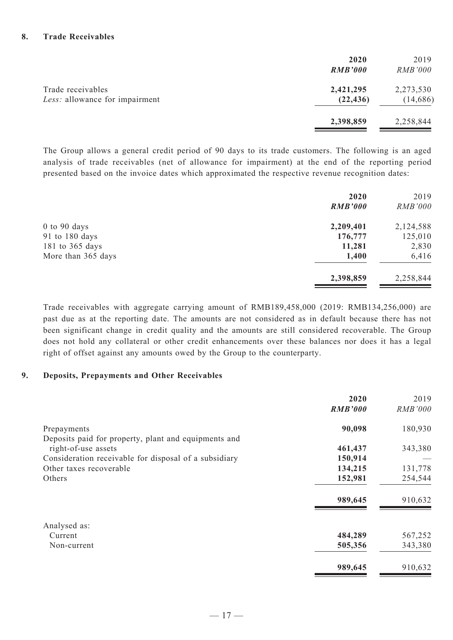#### **8. Trade Receivables**

|                                                     | 2020<br><b>RMB'000</b> | 2019<br><i>RMB'000</i> |
|-----------------------------------------------------|------------------------|------------------------|
| Trade receivables<br>Less: allowance for impairment | 2,421,295<br>(22, 436) | 2,273,530<br>(14, 686) |
|                                                     | 2,398,859              | 2,258,844              |

The Group allows a general credit period of 90 days to its trade customers. The following is an aged analysis of trade receivables (net of allowance for impairment) at the end of the reporting period presented based on the invoice dates which approximated the respective revenue recognition dates:

|                    | 2020<br><b>RMB'000</b> | 2019<br><b>RMB'000</b> |
|--------------------|------------------------|------------------------|
| $0$ to $90$ days   | 2,209,401              | 2,124,588              |
| 91 to 180 days     | 176,777                | 125,010                |
| 181 to 365 days    | 11,281                 | 2,830                  |
| More than 365 days | 1,400                  | 6,416                  |
|                    | 2,398,859              | 2,258,844              |

Trade receivables with aggregate carrying amount of RMB189,458,000 (2019: RMB134,256,000) are past due as at the reporting date. The amounts are not considered as in default because there has not been significant change in credit quality and the amounts are still considered recoverable. The Group does not hold any collateral or other credit enhancements over these balances nor does it has a legal right of offset against any amounts owed by the Group to the counterparty.

#### **9. Deposits, Prepayments and Other Receivables**

|                                                       | 2020           | 2019    |
|-------------------------------------------------------|----------------|---------|
|                                                       | <b>RMB'000</b> | RMB'000 |
| Prepayments                                           | 90,098         | 180,930 |
| Deposits paid for property, plant and equipments and  |                |         |
| right-of-use assets                                   | 461,437        | 343,380 |
| Consideration receivable for disposal of a subsidiary | 150,914        |         |
| Other taxes recoverable                               | 134,215        | 131,778 |
| Others                                                | 152,981        | 254,544 |
|                                                       | 989,645        | 910,632 |
| Analysed as:                                          |                |         |
| Current                                               | 484,289        | 567,252 |
| Non-current                                           | 505,356        | 343,380 |
|                                                       | 989,645        | 910,632 |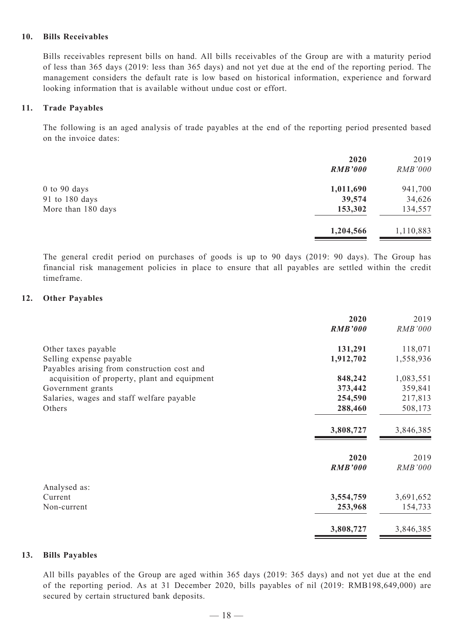#### **10. Bills Receivables**

Bills receivables represent bills on hand. All bills receivables of the Group are with a maturity period of less than 365 days (2019: less than 365 days) and not yet due at the end of the reporting period. The management considers the default rate is low based on historical information, experience and forward looking information that is available without undue cost or effort.

#### **11. Trade Payables**

The following is an aged analysis of trade payables at the end of the reporting period presented based on the invoice dates:

|                    | 2020           | 2019           |
|--------------------|----------------|----------------|
|                    | <b>RMB'000</b> | <b>RMB'000</b> |
| $0$ to $90$ days   | 1,011,690      | 941,700        |
| 91 to $180$ days   | 39,574         | 34,626         |
| More than 180 days | 153,302        | 134,557        |
|                    | 1,204,566      | 1,110,883      |
|                    |                |                |

The general credit period on purchases of goods is up to 90 days (2019: 90 days). The Group has financial risk management policies in place to ensure that all payables are settled within the credit timeframe.

#### **12. Other Payables**

|                                              | 2020           | 2019           |
|----------------------------------------------|----------------|----------------|
|                                              | <b>RMB'000</b> | <b>RMB'000</b> |
| Other taxes payable                          | 131,291        | 118,071        |
| Selling expense payable                      | 1,912,702      | 1,558,936      |
| Payables arising from construction cost and  |                |                |
| acquisition of property, plant and equipment | 848,242        | 1,083,551      |
| Government grants                            | 373,442        | 359,841        |
| Salaries, wages and staff welfare payable    | 254,590        | 217,813        |
| Others                                       | 288,460        | 508,173        |
|                                              | 3,808,727      | 3,846,385      |
|                                              | 2020           | 2019           |
|                                              | <b>RMB'000</b> | <b>RMB'000</b> |
| Analysed as:                                 |                |                |
| Current                                      | 3,554,759      | 3,691,652      |
| Non-current                                  | 253,968        | 154,733        |
|                                              | 3,808,727      | 3,846,385      |
|                                              |                |                |

#### **13. Bills Payables**

All bills payables of the Group are aged within 365 days (2019: 365 days) and not yet due at the end of the reporting period. As at 31 December 2020, bills payables of nil (2019: RMB198,649,000) are secured by certain structured bank deposits.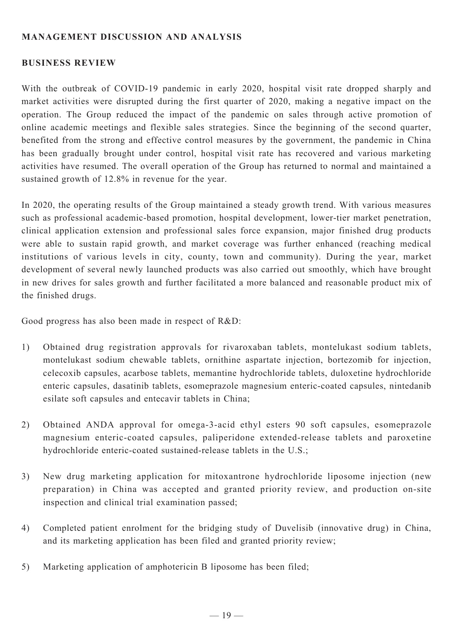## **MANAGEMENT DISCUSSION AND ANALYSIS**

### **BUSINESS REVIEW**

With the outbreak of COVID-19 pandemic in early 2020, hospital visit rate dropped sharply and market activities were disrupted during the first quarter of 2020, making a negative impact on the operation. The Group reduced the impact of the pandemic on sales through active promotion of online academic meetings and flexible sales strategies. Since the beginning of the second quarter, benefited from the strong and effective control measures by the government, the pandemic in China has been gradually brought under control, hospital visit rate has recovered and various marketing activities have resumed. The overall operation of the Group has returned to normal and maintained a sustained growth of 12.8% in revenue for the year.

In 2020, the operating results of the Group maintained a steady growth trend. With various measures such as professional academic-based promotion, hospital development, lower-tier market penetration, clinical application extension and professional sales force expansion, major finished drug products were able to sustain rapid growth, and market coverage was further enhanced (reaching medical institutions of various levels in city, county, town and community). During the year, market development of several newly launched products was also carried out smoothly, which have brought in new drives for sales growth and further facilitated a more balanced and reasonable product mix of the finished drugs.

Good progress has also been made in respect of R&D:

- 1) Obtained drug registration approvals for rivaroxaban tablets, montelukast sodium tablets, montelukast sodium chewable tablets, ornithine aspartate injection, bortezomib for injection, celecoxib capsules, acarbose tablets, memantine hydrochloride tablets, duloxetine hydrochloride enteric capsules, dasatinib tablets, esomeprazole magnesium enteric-coated capsules, nintedanib esilate soft capsules and entecavir tablets in China;
- 2) Obtained ANDA approval for omega-3-acid ethyl esters 90 soft capsules, esomeprazole magnesium enteric-coated capsules, paliperidone extended-release tablets and paroxetine hydrochloride enteric-coated sustained-release tablets in the U.S.;
- 3) New drug marketing application for mitoxantrone hydrochloride liposome injection (new preparation) in China was accepted and granted priority review, and production on-site inspection and clinical trial examination passed;
- 4) Completed patient enrolment for the bridging study of Duvelisib (innovative drug) in China, and its marketing application has been filed and granted priority review;
- 5) Marketing application of amphotericin B liposome has been filed;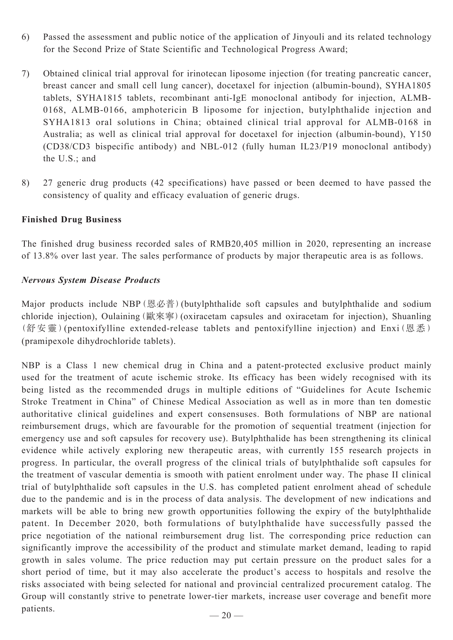- 6) Passed the assessment and public notice of the application of Jinyouli and its related technology for the Second Prize of State Scientific and Technological Progress Award;
- 7) Obtained clinical trial approval for irinotecan liposome injection (for treating pancreatic cancer, breast cancer and small cell lung cancer), docetaxel for injection (albumin-bound), SYHA1805 tablets, SYHA1815 tablets, recombinant anti-IgE monoclonal antibody for injection, ALMB-0168, ALMB-0166, amphotericin B liposome for injection, butylphthalide injection and SYHA1813 oral solutions in China; obtained clinical trial approval for ALMB-0168 in Australia; as well as clinical trial approval for docetaxel for injection (albumin-bound), Y150 (CD38/CD3 bispecific antibody) and NBL-012 (fully human IL23/P19 monoclonal antibody) the U.S.; and
- 8) 27 generic drug products (42 specifications) have passed or been deemed to have passed the consistency of quality and efficacy evaluation of generic drugs.

#### **Finished Drug Business**

The finished drug business recorded sales of RMB20,405 million in 2020, representing an increase of 13.8% over last year. The sales performance of products by major therapeutic area is as follows.

#### *Nervous System Disease Products*

Major products include NBP (恩必普) (butylphthalide soft capsules and butylphthalide and sodium chloride injection), Oulaining(歐來寧)(oxiracetam capsules and oxiracetam for injection), Shuanling (舒安靈)(pentoxifylline extended-release tablets and pentoxifylline injection) and Enxi(恩悉) (pramipexole dihydrochloride tablets).

NBP is a Class 1 new chemical drug in China and a patent-protected exclusive product mainly used for the treatment of acute ischemic stroke. Its efficacy has been widely recognised with its being listed as the recommended drugs in multiple editions of "Guidelines for Acute Ischemic Stroke Treatment in China" of Chinese Medical Association as well as in more than ten domestic authoritative clinical guidelines and expert consensuses. Both formulations of NBP are national reimbursement drugs, which are favourable for the promotion of sequential treatment (injection for emergency use and soft capsules for recovery use). Butylphthalide has been strengthening its clinical evidence while actively exploring new therapeutic areas, with currently 155 research projects in progress. In particular, the overall progress of the clinical trials of butylphthalide soft capsules for the treatment of vascular dementia is smooth with patient enrolment under way. The phase II clinical trial of butylphthalide soft capsules in the U.S. has completed patient enrolment ahead of schedule due to the pandemic and is in the process of data analysis. The development of new indications and markets will be able to bring new growth opportunities following the expiry of the butylphthalide patent. In December 2020, both formulations of butylphthalide have successfully passed the price negotiation of the national reimbursement drug list. The corresponding price reduction can significantly improve the accessibility of the product and stimulate market demand, leading to rapid growth in sales volume. The price reduction may put certain pressure on the product sales for a short period of time, but it may also accelerate the product's access to hospitals and resolve the risks associated with being selected for national and provincial centralized procurement catalog. The Group will constantly strive to penetrate lower-tier markets, increase user coverage and benefit more patients.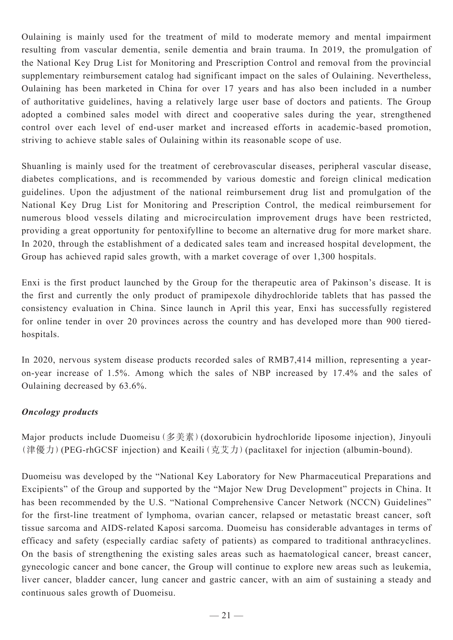Oulaining is mainly used for the treatment of mild to moderate memory and mental impairment resulting from vascular dementia, senile dementia and brain trauma. In 2019, the promulgation of the National Key Drug List for Monitoring and Prescription Control and removal from the provincial supplementary reimbursement catalog had significant impact on the sales of Oulaining. Nevertheless, Oulaining has been marketed in China for over 17 years and has also been included in a number of authoritative guidelines, having a relatively large user base of doctors and patients. The Group adopted a combined sales model with direct and cooperative sales during the year, strengthened control over each level of end-user market and increased efforts in academic-based promotion, striving to achieve stable sales of Oulaining within its reasonable scope of use.

Shuanling is mainly used for the treatment of cerebrovascular diseases, peripheral vascular disease, diabetes complications, and is recommended by various domestic and foreign clinical medication guidelines. Upon the adjustment of the national reimbursement drug list and promulgation of the National Key Drug List for Monitoring and Prescription Control, the medical reimbursement for numerous blood vessels dilating and microcirculation improvement drugs have been restricted, providing a great opportunity for pentoxifylline to become an alternative drug for more market share. In 2020, through the establishment of a dedicated sales team and increased hospital development, the Group has achieved rapid sales growth, with a market coverage of over 1,300 hospitals.

Enxi is the first product launched by the Group for the therapeutic area of Pakinson's disease. It is the first and currently the only product of pramipexole dihydrochloride tablets that has passed the consistency evaluation in China. Since launch in April this year, Enxi has successfully registered for online tender in over 20 provinces across the country and has developed more than 900 tieredhospitals.

In 2020, nervous system disease products recorded sales of RMB7,414 million, representing a yearon-year increase of 1.5%. Among which the sales of NBP increased by 17.4% and the sales of Oulaining decreased by 63.6%.

## *Oncology products*

Major products include Duomeisu (多美素) (doxorubicin hydrochloride liposome injection), Jinyouli (津優力)(PEG-rhGCSF injection) and Keaili(克艾力)(paclitaxel for injection (albumin-bound).

Duomeisu was developed by the "National Key Laboratory for New Pharmaceutical Preparations and Excipients" of the Group and supported by the "Major New Drug Development" projects in China. It has been recommended by the U.S. "National Comprehensive Cancer Network (NCCN) Guidelines" for the first-line treatment of lymphoma, ovarian cancer, relapsed or metastatic breast cancer, soft tissue sarcoma and AIDS-related Kaposi sarcoma. Duomeisu has considerable advantages in terms of efficacy and safety (especially cardiac safety of patients) as compared to traditional anthracyclines. On the basis of strengthening the existing sales areas such as haematological cancer, breast cancer, gynecologic cancer and bone cancer, the Group will continue to explore new areas such as leukemia, liver cancer, bladder cancer, lung cancer and gastric cancer, with an aim of sustaining a steady and continuous sales growth of Duomeisu.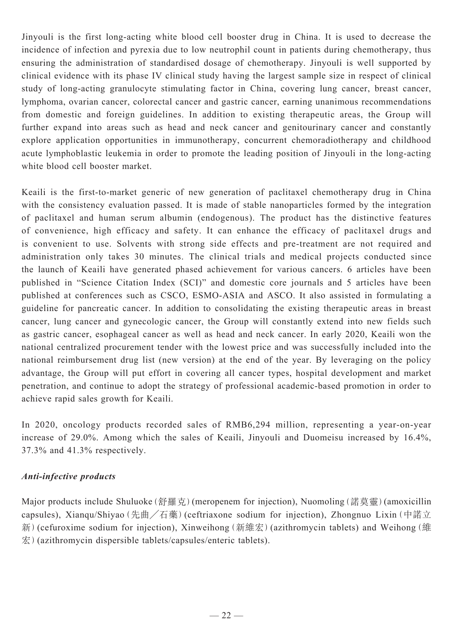Jinyouli is the first long-acting white blood cell booster drug in China. It is used to decrease the incidence of infection and pyrexia due to low neutrophil count in patients during chemotherapy, thus ensuring the administration of standardised dosage of chemotherapy. Jinyouli is well supported by clinical evidence with its phase IV clinical study having the largest sample size in respect of clinical study of long-acting granulocyte stimulating factor in China, covering lung cancer, breast cancer, lymphoma, ovarian cancer, colorectal cancer and gastric cancer, earning unanimous recommendations from domestic and foreign guidelines. In addition to existing therapeutic areas, the Group will further expand into areas such as head and neck cancer and genitourinary cancer and constantly explore application opportunities in immunotherapy, concurrent chemoradiotherapy and childhood acute lymphoblastic leukemia in order to promote the leading position of Jinyouli in the long-acting white blood cell booster market.

Keaili is the first-to-market generic of new generation of paclitaxel chemotherapy drug in China with the consistency evaluation passed. It is made of stable nanoparticles formed by the integration of paclitaxel and human serum albumin (endogenous). The product has the distinctive features of convenience, high efficacy and safety. It can enhance the efficacy of paclitaxel drugs and is convenient to use. Solvents with strong side effects and pre-treatment are not required and administration only takes 30 minutes. The clinical trials and medical projects conducted since the launch of Keaili have generated phased achievement for various cancers. 6 articles have been published in "Science Citation Index (SCI)" and domestic core journals and 5 articles have been published at conferences such as CSCO, ESMO-ASIA and ASCO. It also assisted in formulating a guideline for pancreatic cancer. In addition to consolidating the existing therapeutic areas in breast cancer, lung cancer and gynecologic cancer, the Group will constantly extend into new fields such as gastric cancer, esophageal cancer as well as head and neck cancer. In early 2020, Keaili won the national centralized procurement tender with the lowest price and was successfully included into the national reimbursement drug list (new version) at the end of the year. By leveraging on the policy advantage, the Group will put effort in covering all cancer types, hospital development and market penetration, and continue to adopt the strategy of professional academic-based promotion in order to achieve rapid sales growth for Keaili.

In 2020, oncology products recorded sales of RMB6,294 million, representing a year-on-year increase of 29.0%. Among which the sales of Keaili, Jinyouli and Duomeisu increased by 16.4%, 37.3% and 41.3% respectively.

## *Anti-infective products*

Major products include Shuluoke(舒羅克)(meropenem for injection), Nuomoling(諾莫靈)(amoxicillin capsules), Xianqu/Shiyao (先曲/石藥) (ceftriaxone sodium for injection), Zhongnuo Lixin (中諾立 新) (cefuroxime sodium for injection), Xinweihong (新維宏) (azithromycin tablets) and Weihong (維 宏)(azithromycin dispersible tablets/capsules/enteric tablets).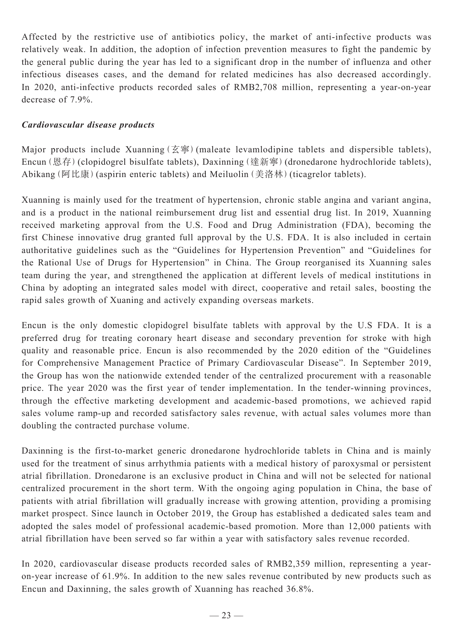Affected by the restrictive use of antibiotics policy, the market of anti-infective products was relatively weak. In addition, the adoption of infection prevention measures to fight the pandemic by the general public during the year has led to a significant drop in the number of influenza and other infectious diseases cases, and the demand for related medicines has also decreased accordingly. In 2020, anti-infective products recorded sales of RMB2,708 million, representing a year-on-year decrease of 7.9%.

## *Cardiovascular disease products*

Major products include Xuanning(玄寧)(maleate levamlodipine tablets and dispersible tablets), Encun(恩存)(clopidogrel bisulfate tablets), Daxinning(達新寧)(dronedarone hydrochloride tablets), Abikang(阿比康)(aspirin enteric tablets) and Meiluolin(美洛林)(ticagrelor tablets).

Xuanning is mainly used for the treatment of hypertension, chronic stable angina and variant angina, and is a product in the national reimbursement drug list and essential drug list. In 2019, Xuanning received marketing approval from the U.S. Food and Drug Administration (FDA), becoming the first Chinese innovative drug granted full approval by the U.S. FDA. It is also included in certain authoritative guidelines such as the "Guidelines for Hypertension Prevention" and "Guidelines for the Rational Use of Drugs for Hypertension" in China. The Group reorganised its Xuanning sales team during the year, and strengthened the application at different levels of medical institutions in China by adopting an integrated sales model with direct, cooperative and retail sales, boosting the rapid sales growth of Xuaning and actively expanding overseas markets.

Encun is the only domestic clopidogrel bisulfate tablets with approval by the U.S FDA. It is a preferred drug for treating coronary heart disease and secondary prevention for stroke with high quality and reasonable price. Encun is also recommended by the 2020 edition of the "Guidelines for Comprehensive Management Practice of Primary Cardiovascular Disease". In September 2019, the Group has won the nationwide extended tender of the centralized procurement with a reasonable price. The year 2020 was the first year of tender implementation. In the tender-winning provinces, through the effective marketing development and academic-based promotions, we achieved rapid sales volume ramp-up and recorded satisfactory sales revenue, with actual sales volumes more than doubling the contracted purchase volume.

Daxinning is the first-to-market generic dronedarone hydrochloride tablets in China and is mainly used for the treatment of sinus arrhythmia patients with a medical history of paroxysmal or persistent atrial fibrillation. Dronedarone is an exclusive product in China and will not be selected for national centralized procurement in the short term. With the ongoing aging population in China, the base of patients with atrial fibrillation will gradually increase with growing attention, providing a promising market prospect. Since launch in October 2019, the Group has established a dedicated sales team and adopted the sales model of professional academic-based promotion. More than 12,000 patients with atrial fibrillation have been served so far within a year with satisfactory sales revenue recorded.

In 2020, cardiovascular disease products recorded sales of RMB2,359 million, representing a yearon-year increase of 61.9%. In addition to the new sales revenue contributed by new products such as Encun and Daxinning, the sales growth of Xuanning has reached 36.8%.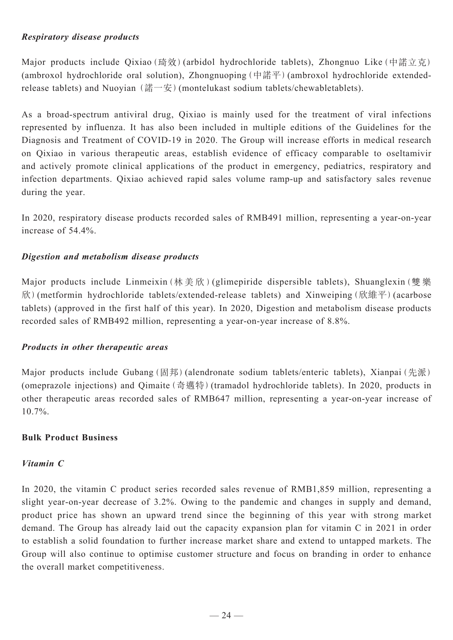## *Respiratory disease products*

Major products include Qixiao(琦效)(arbidol hydrochloride tablets), Zhongnuo Like(中諾立克) (ambroxol hydrochloride oral solution), Zhongnuoping(中諾平)(ambroxol hydrochloride extendedrelease tablets) and Nuoyian (諾一安)(montelukast sodium tablets/chewabletablets).

As a broad-spectrum antiviral drug, Qixiao is mainly used for the treatment of viral infections represented by influenza. It has also been included in multiple editions of the Guidelines for the Diagnosis and Treatment of COVID-19 in 2020. The Group will increase efforts in medical research on Qixiao in various therapeutic areas, establish evidence of efficacy comparable to oseltamivir and actively promote clinical applications of the product in emergency, pediatrics, respiratory and infection departments. Qixiao achieved rapid sales volume ramp-up and satisfactory sales revenue during the year.

In 2020, respiratory disease products recorded sales of RMB491 million, representing a year-on-year increase of 54.4%.

## *Digestion and metabolism disease products*

Major products include Linmeixin  $(\# \# \pi)$  (glimepiride dispersible tablets), Shuanglexin (雙樂 欣)(metformin hydrochloride tablets/extended-release tablets) and Xinweiping(欣維平)(acarbose tablets) (approved in the first half of this year). In 2020, Digestion and metabolism disease products recorded sales of RMB492 million, representing a year-on-year increase of 8.8%.

## *Products in other therapeutic areas*

Major products include Gubang (固邦) (alendronate sodium tablets/enteric tablets), Xianpai(先派) (omeprazole injections) and Qimaite(奇邁特)(tramadol hydrochloride tablets). In 2020, products in other therapeutic areas recorded sales of RMB647 million, representing a year-on-year increase of 10.7%.

## **Bulk Product Business**

## *Vitamin C*

In 2020, the vitamin C product series recorded sales revenue of RMB1,859 million, representing a slight year-on-year decrease of 3.2%. Owing to the pandemic and changes in supply and demand, product price has shown an upward trend since the beginning of this year with strong market demand. The Group has already laid out the capacity expansion plan for vitamin C in 2021 in order to establish a solid foundation to further increase market share and extend to untapped markets. The Group will also continue to optimise customer structure and focus on branding in order to enhance the overall market competitiveness.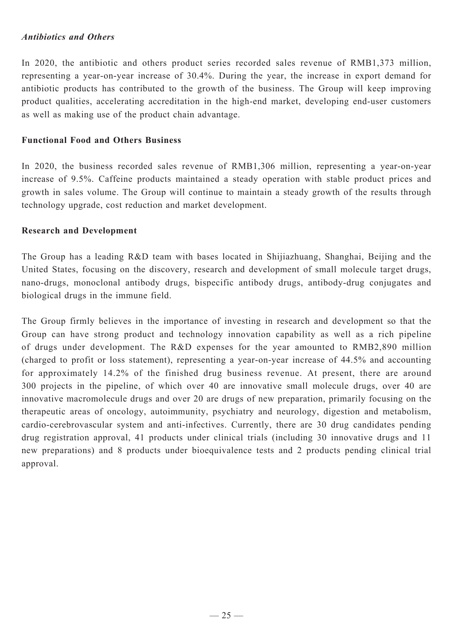### *Antibiotics and Others*

In 2020, the antibiotic and others product series recorded sales revenue of RMB1,373 million, representing a year-on-year increase of 30.4%. During the year, the increase in export demand for antibiotic products has contributed to the growth of the business. The Group will keep improving product qualities, accelerating accreditation in the high-end market, developing end-user customers as well as making use of the product chain advantage.

## **Functional Food and Others Business**

In 2020, the business recorded sales revenue of RMB1,306 million, representing a year-on-year increase of 9.5%. Caffeine products maintained a steady operation with stable product prices and growth in sales volume. The Group will continue to maintain a steady growth of the results through technology upgrade, cost reduction and market development.

#### **Research and Development**

The Group has a leading R&D team with bases located in Shijiazhuang, Shanghai, Beijing and the United States, focusing on the discovery, research and development of small molecule target drugs, nano-drugs, monoclonal antibody drugs, bispecific antibody drugs, antibody-drug conjugates and biological drugs in the immune field.

The Group firmly believes in the importance of investing in research and development so that the Group can have strong product and technology innovation capability as well as a rich pipeline of drugs under development. The R&D expenses for the year amounted to RMB2,890 million (charged to profit or loss statement), representing a year-on-year increase of 44.5% and accounting for approximately 14.2% of the finished drug business revenue. At present, there are around 300 projects in the pipeline, of which over 40 are innovative small molecule drugs, over 40 are innovative macromolecule drugs and over 20 are drugs of new preparation, primarily focusing on the therapeutic areas of oncology, autoimmunity, psychiatry and neurology, digestion and metabolism, cardio-cerebrovascular system and anti-infectives. Currently, there are 30 drug candidates pending drug registration approval, 41 products under clinical trials (including 30 innovative drugs and 11 new preparations) and 8 products under bioequivalence tests and 2 products pending clinical trial approval.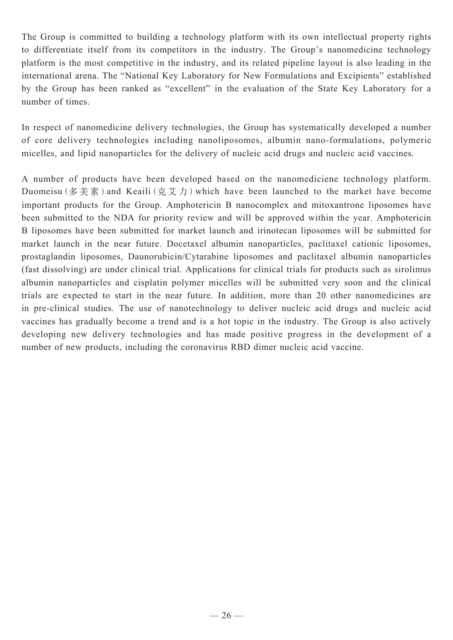The Group is committed to building a technology platform with its own intellectual property rights to differentiate itself from its competitors in the industry. The Group's nanomedicine technology platform is the most competitive in the industry, and its related pipeline layout is also leading in the international arena. The "National Key Laboratory for New Formulations and Excipients" established by the Group has been ranked as "excellent" in the evaluation of the State Key Laboratory for a number of times.

In respect of nanomedicine delivery technologies, the Group has systematically developed a number of core delivery technologies including nanoliposomes, albumin nano-formulations, polymeric micelles, and lipid nanoparticles for the delivery of nucleic acid drugs and nucleic acid vaccines.

A number of products have been developed based on the nanomediciene technology platform. Duomeisu (多美素) and Keaili (克艾力) which have been launched to the market have become important products for the Group. Amphotericin B nanocomplex and mitoxantrone liposomes have been submitted to the NDA for priority review and will be approved within the year. Amphotericin B liposomes have been submitted for market launch and irinotecan liposomes will be submitted for market launch in the near future. Docetaxel albumin nanoparticles, paclitaxel cationic liposomes, prostaglandin liposomes, Daunorubicin/Cytarabine liposomes and paclitaxel albumin nanoparticles (fast dissolving) are under clinical trial. Applications for clinical trials for products such as sirolimus albumin nanoparticles and cisplatin polymer micelles will be submitted very soon and the clinical trials are expected to start in the near future. In addition, more than 20 other nanomedicines are in pre-clinical studies. The use of nanotechnology to deliver nucleic acid drugs and nucleic acid vaccines has gradually become a trend and is a hot topic in the industry. The Group is also actively developing new delivery technologies and has made positive progress in the development of a number of new products, including the coronavirus RBD dimer nucleic acid vaccine.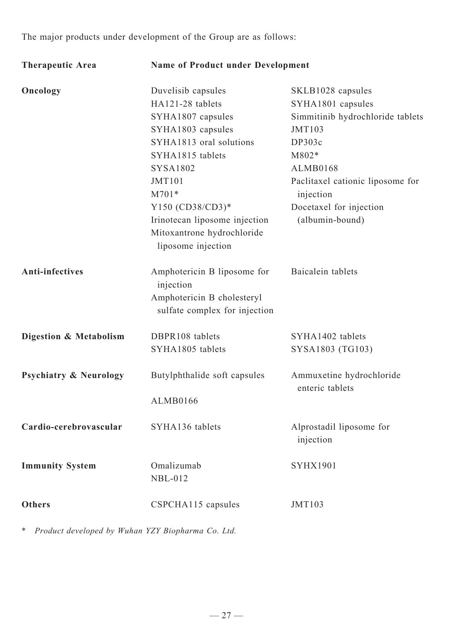The major products under development of the Group are as follows:

| <b>Therapeutic Area</b>           | <b>Name of Product under Development</b>                                                                                                                                                                                                                                                |                                                                                                                                                                                                                    |  |
|-----------------------------------|-----------------------------------------------------------------------------------------------------------------------------------------------------------------------------------------------------------------------------------------------------------------------------------------|--------------------------------------------------------------------------------------------------------------------------------------------------------------------------------------------------------------------|--|
| Oncology                          | Duvelisib capsules<br>HA121-28 tablets<br>SYHA1807 capsules<br>SYHA1803 capsules<br>SYHA1813 oral solutions<br>SYHA1815 tablets<br><b>SYSA1802</b><br><b>JMT101</b><br>$M701*$<br>Y150 (CD38/CD3)*<br>Irinotecan liposome injection<br>Mitoxantrone hydrochloride<br>liposome injection | SKLB1028 capsules<br>SYHA1801 capsules<br>Simmitinib hydrochloride tablets<br>JMT103<br>DP303c<br>M802*<br>ALMB0168<br>Paclitaxel cationic liposome for<br>injection<br>Docetaxel for injection<br>(albumin-bound) |  |
| <b>Anti-infectives</b>            | Amphotericin B liposome for<br>injection<br>Amphotericin B cholesteryl<br>sulfate complex for injection                                                                                                                                                                                 | Baicalein tablets                                                                                                                                                                                                  |  |
| Digestion & Metabolism            | DBPR108 tablets<br>SYHA1805 tablets                                                                                                                                                                                                                                                     | SYHA1402 tablets<br>SYSA1803 (TG103)                                                                                                                                                                               |  |
| <b>Psychiatry &amp; Neurology</b> | Butylphthalide soft capsules<br>ALMB0166                                                                                                                                                                                                                                                | Ammuxetine hydrochloride<br>enteric tablets                                                                                                                                                                        |  |
| Cardio-cerebrovascular            | SYHA136 tablets                                                                                                                                                                                                                                                                         | Alprostadil liposome for<br>injection                                                                                                                                                                              |  |
| <b>Immunity System</b>            | Omalizumab<br><b>NBL-012</b>                                                                                                                                                                                                                                                            | <b>SYHX1901</b>                                                                                                                                                                                                    |  |
| <b>Others</b>                     | CSPCHA115 capsules                                                                                                                                                                                                                                                                      | JMT103                                                                                                                                                                                                             |  |

\* *Product developed by Wuhan YZY Biopharma Co. Ltd.*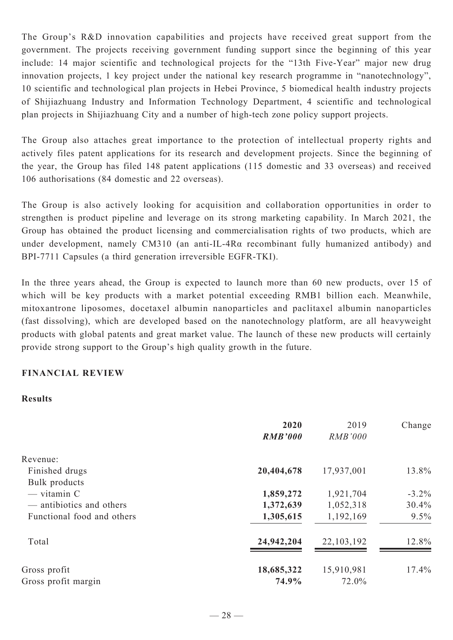The Group's R&D innovation capabilities and projects have received great support from the government. The projects receiving government funding support since the beginning of this year include: 14 major scientific and technological projects for the "13th Five-Year" major new drug innovation projects, 1 key project under the national key research programme in "nanotechnology", 10 scientific and technological plan projects in Hebei Province, 5 biomedical health industry projects of Shijiazhuang Industry and Information Technology Department, 4 scientific and technological plan projects in Shijiazhuang City and a number of high-tech zone policy support projects.

The Group also attaches great importance to the protection of intellectual property rights and actively files patent applications for its research and development projects. Since the beginning of the year, the Group has filed 148 patent applications (115 domestic and 33 overseas) and received 106 authorisations (84 domestic and 22 overseas).

The Group is also actively looking for acquisition and collaboration opportunities in order to strengthen is product pipeline and leverage on its strong marketing capability. In March 2021, the Group has obtained the product licensing and commercialisation rights of two products, which are under development, namely CM310 (an anti-IL-4Rα recombinant fully humanized antibody) and BPI-7711 Capsules (a third generation irreversible EGFR-TKI).

In the three years ahead, the Group is expected to launch more than 60 new products, over 15 of which will be key products with a market potential exceeding RMB1 billion each. Meanwhile, mitoxantrone liposomes, docetaxel albumin nanoparticles and paclitaxel albumin nanoparticles (fast dissolving), which are developed based on the nanotechnology platform, are all heavyweight products with global patents and great market value. The launch of these new products will certainly provide strong support to the Group's high quality growth in the future.

## **FINANCIAL REVIEW**

#### **Results**

|                            | 2020<br><b>RMB'000</b> | 2019<br><b>RMB'000</b> | Change   |
|----------------------------|------------------------|------------------------|----------|
| Revenue:                   |                        |                        |          |
| Finished drugs             | 20,404,678             | 17,937,001             | 13.8%    |
| Bulk products              |                        |                        |          |
| $-$ vitamin $C$            | 1,859,272              | 1,921,704              | $-3.2\%$ |
| — antibiotics and others   | 1,372,639              | 1,052,318              | $30.4\%$ |
| Functional food and others | 1,305,615              | 1,192,169              | $9.5\%$  |
| Total                      | 24,942,204             | 22,103,192             | 12.8%    |
| Gross profit               | 18,685,322             | 15,910,981             | $17.4\%$ |
| Gross profit margin        | 74.9%                  | 72.0%                  |          |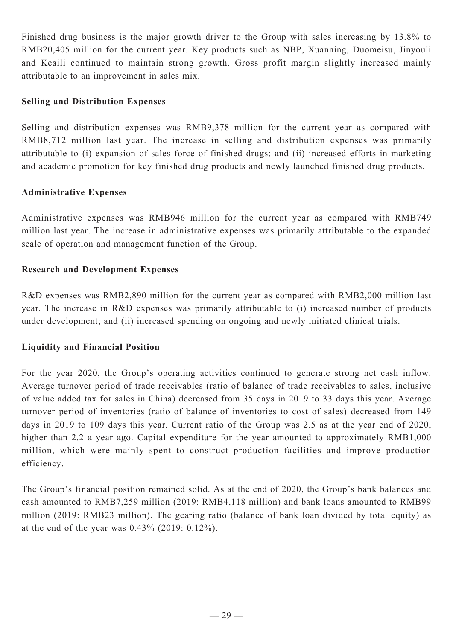Finished drug business is the major growth driver to the Group with sales increasing by 13.8% to RMB20,405 million for the current year. Key products such as NBP, Xuanning, Duomeisu, Jinyouli and Keaili continued to maintain strong growth. Gross profit margin slightly increased mainly attributable to an improvement in sales mix.

## **Selling and Distribution Expenses**

Selling and distribution expenses was RMB9,378 million for the current year as compared with RMB8,712 million last year. The increase in selling and distribution expenses was primarily attributable to (i) expansion of sales force of finished drugs; and (ii) increased efforts in marketing and academic promotion for key finished drug products and newly launched finished drug products.

## **Administrative Expenses**

Administrative expenses was RMB946 million for the current year as compared with RMB749 million last year. The increase in administrative expenses was primarily attributable to the expanded scale of operation and management function of the Group.

## **Research and Development Expenses**

R&D expenses was RMB2,890 million for the current year as compared with RMB2,000 million last year. The increase in R&D expenses was primarily attributable to (i) increased number of products under development; and (ii) increased spending on ongoing and newly initiated clinical trials.

## **Liquidity and Financial Position**

For the year 2020, the Group's operating activities continued to generate strong net cash inflow. Average turnover period of trade receivables (ratio of balance of trade receivables to sales, inclusive of value added tax for sales in China) decreased from 35 days in 2019 to 33 days this year. Average turnover period of inventories (ratio of balance of inventories to cost of sales) decreased from 149 days in 2019 to 109 days this year. Current ratio of the Group was 2.5 as at the year end of 2020, higher than 2.2 a year ago. Capital expenditure for the year amounted to approximately RMB1,000 million, which were mainly spent to construct production facilities and improve production efficiency.

The Group's financial position remained solid. As at the end of 2020, the Group's bank balances and cash amounted to RMB7,259 million (2019: RMB4,118 million) and bank loans amounted to RMB99 million (2019: RMB23 million). The gearing ratio (balance of bank loan divided by total equity) as at the end of the year was 0.43% (2019: 0.12%).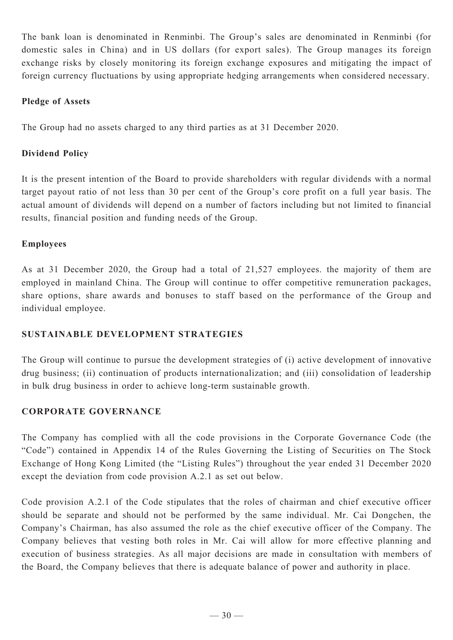The bank loan is denominated in Renminbi. The Group's sales are denominated in Renminbi (for domestic sales in China) and in US dollars (for export sales). The Group manages its foreign exchange risks by closely monitoring its foreign exchange exposures and mitigating the impact of foreign currency fluctuations by using appropriate hedging arrangements when considered necessary.

## **Pledge of Assets**

The Group had no assets charged to any third parties as at 31 December 2020.

## **Dividend Policy**

It is the present intention of the Board to provide shareholders with regular dividends with a normal target payout ratio of not less than 30 per cent of the Group's core profit on a full year basis. The actual amount of dividends will depend on a number of factors including but not limited to financial results, financial position and funding needs of the Group.

## **Employees**

As at 31 December 2020, the Group had a total of 21,527 employees. the majority of them are employed in mainland China. The Group will continue to offer competitive remuneration packages, share options, share awards and bonuses to staff based on the performance of the Group and individual employee.

## **SUSTAINABLE DEVELOPMENT STRATEGIES**

The Group will continue to pursue the development strategies of (i) active development of innovative drug business; (ii) continuation of products internationalization; and (iii) consolidation of leadership in bulk drug business in order to achieve long-term sustainable growth.

## **CORPORATE GOVERNANCE**

The Company has complied with all the code provisions in the Corporate Governance Code (the "Code") contained in Appendix 14 of the Rules Governing the Listing of Securities on The Stock Exchange of Hong Kong Limited (the "Listing Rules") throughout the year ended 31 December 2020 except the deviation from code provision A.2.1 as set out below.

Code provision A.2.1 of the Code stipulates that the roles of chairman and chief executive officer should be separate and should not be performed by the same individual. Mr. Cai Dongchen, the Company's Chairman, has also assumed the role as the chief executive officer of the Company. The Company believes that vesting both roles in Mr. Cai will allow for more effective planning and execution of business strategies. As all major decisions are made in consultation with members of the Board, the Company believes that there is adequate balance of power and authority in place.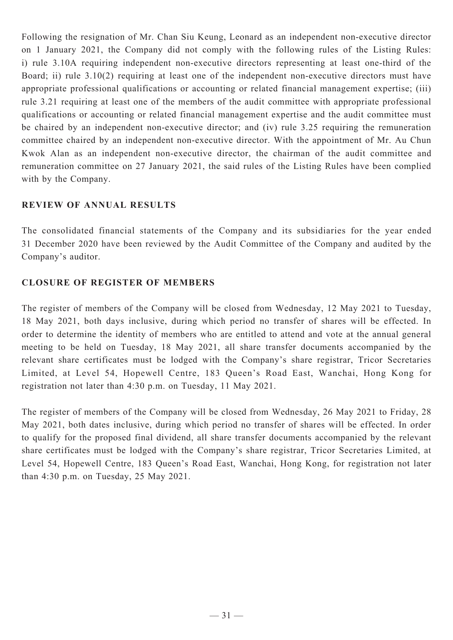Following the resignation of Mr. Chan Siu Keung, Leonard as an independent non-executive director on 1 January 2021, the Company did not comply with the following rules of the Listing Rules: i) rule 3.10A requiring independent non-executive directors representing at least one-third of the Board; ii) rule 3.10(2) requiring at least one of the independent non-executive directors must have appropriate professional qualifications or accounting or related financial management expertise; (iii) rule 3.21 requiring at least one of the members of the audit committee with appropriate professional qualifications or accounting or related financial management expertise and the audit committee must be chaired by an independent non-executive director; and (iv) rule 3.25 requiring the remuneration committee chaired by an independent non-executive director. With the appointment of Mr. Au Chun Kwok Alan as an independent non-executive director, the chairman of the audit committee and remuneration committee on 27 January 2021, the said rules of the Listing Rules have been complied with by the Company.

## **REVIEW OF ANNUAL RESULTS**

The consolidated financial statements of the Company and its subsidiaries for the year ended 31 December 2020 have been reviewed by the Audit Committee of the Company and audited by the Company's auditor.

## **CLOSURE OF REGISTER OF MEMBERS**

The register of members of the Company will be closed from Wednesday, 12 May 2021 to Tuesday, 18 May 2021, both days inclusive, during which period no transfer of shares will be effected. In order to determine the identity of members who are entitled to attend and vote at the annual general meeting to be held on Tuesday, 18 May 2021, all share transfer documents accompanied by the relevant share certificates must be lodged with the Company's share registrar, Tricor Secretaries Limited, at Level 54, Hopewell Centre, 183 Queen's Road East, Wanchai, Hong Kong for registration not later than 4:30 p.m. on Tuesday, 11 May 2021.

The register of members of the Company will be closed from Wednesday, 26 May 2021 to Friday, 28 May 2021, both dates inclusive, during which period no transfer of shares will be effected. In order to qualify for the proposed final dividend, all share transfer documents accompanied by the relevant share certificates must be lodged with the Company's share registrar, Tricor Secretaries Limited, at Level 54, Hopewell Centre, 183 Queen's Road East, Wanchai, Hong Kong, for registration not later than 4:30 p.m. on Tuesday, 25 May 2021.